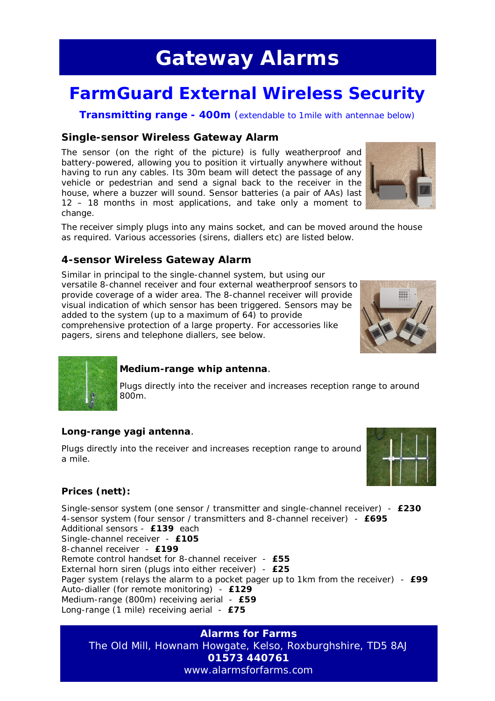## **Gateway Alarms**

## **FarmGuard External Wireless Security**

**Transmitting range - 400m** (extendable to 1mile with antennae below)

#### **Single-sensor Wireless Gateway Alarm**

The sensor (on the right of the picture) is fully weatherproof and battery-powered, allowing you to position it virtually anywhere without having to run any cables. Its 30m beam will detect the passage of any vehicle or pedestrian and send a signal back to the receiver in the house, where a buzzer will sound. Sensor batteries (a pair of AAs) last 12 – 18 months in most applications, and take only a moment to change.



The receiver simply plugs into any mains socket, and can be moved around the house as required. Various accessories (sirens, diallers etc) are listed below.

#### **4-sensor Wireless Gateway Alarm**

Similar in principal to the single-channel system, but using our versatile 8-channel receiver and four external weatherproof sensors to provide coverage of a wider area. The 8-channel receiver will provide visual indication of which sensor has been triggered. Sensors may be added to the system (up to a maximum of 64) to provide comprehensive protection of a large property. For accessories like pagers, sirens and telephone diallers, see below.





#### **Medium-range whip antenna**.

Plugs directly into the receiver and increases reception range to around 800m.

#### **Long-range yagi antenna**.

Plugs directly into the receiver and increases reception range to around a mile.



#### **Prices (nett):**

Single-sensor system (one sensor / transmitter and single-channel receiver) - **£230** 4-sensor system (four sensor / transmitters and 8-channel receiver) - **£695** Additional sensors - **£139** each Single-channel receiver - **£105** 8-channel receiver - **£199** Remote control handset for 8-channel receiver - **£55** External horn siren (plugs into either receiver) - **£25** Pager system (relays the alarm to a pocket pager up to 1km from the receiver) - **£99** Auto-dialler (for remote monitoring) - **£129** Medium-range (800m) receiving aerial - **£59** Long-range (1 mile) receiving aerial - **£75**

**Alarms for Farms** The Old Mill, Hownam Howgate, Kelso, Roxburghshire, TD5 8AJ **01573 440761** www.alarmsforfarms.com